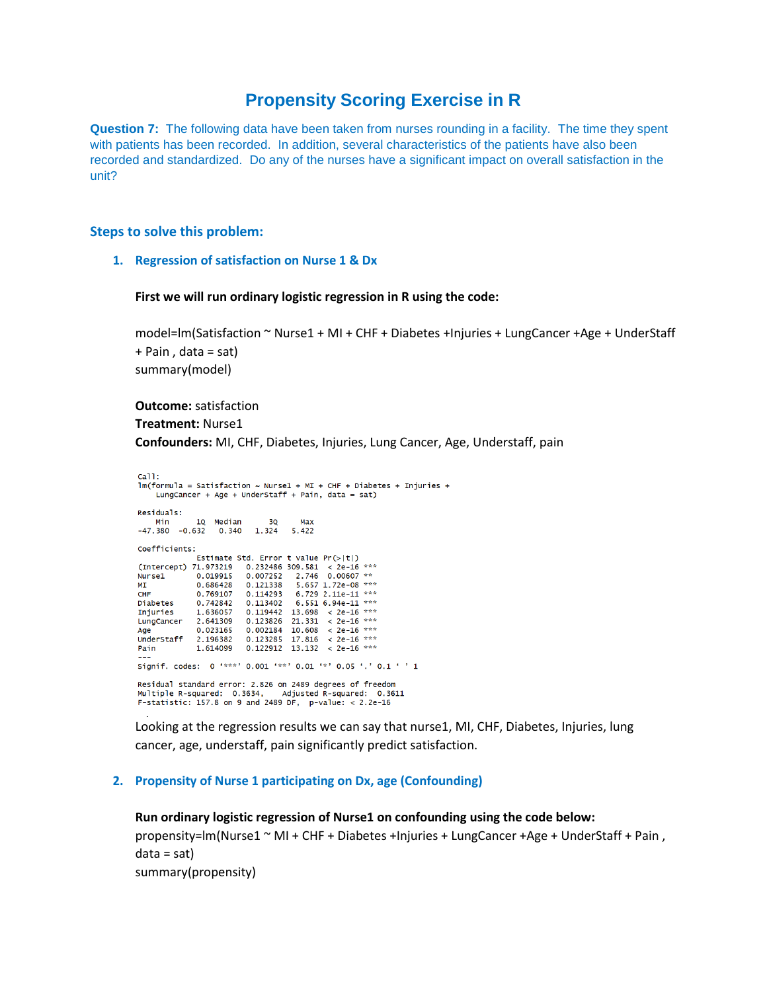# **Propensity Scoring Exercise in R**

**Question 7:** The following data have been taken from nurses rounding in a facility. The time they spent with patients has been recorded. In addition, several characteristics of the patients have also been recorded and standardized. Do any of the nurses have a significant impact on overall satisfaction in the unit?

# **Steps to solve this problem:**

**1. Regression of satisfaction on Nurse 1 & Dx**

### **First we will run ordinary logistic regression in R using the code:**

model=lm(Satisfaction ~ Nurse1 + MI + CHF + Diabetes +Injuries + LungCancer +Age + UnderStaff + Pain , data = sat) summary(model)

**Outcome:** satisfaction

**Treatment:** Nurse1

**Confounders:** MI, CHF, Diabetes, Injuries, Lung Cancer, Age, Understaff, pain

```
ca11:lm(formula = Satisfactor ~ Nurse1 + MI + CHF + Diabetes + Injuries +LungCancer + Age + UnderStaff + Pain, data = sat)
Residuals:
                1Q Median
                                       3Q
                                                Max
-47.380 -0.632 0.340 1.324 5.422
Coefficients:
Estimate Std. Error t value Pr(>|t|)<br>
Estimate Std. Error t value Pr(>|t|)<br>
(Intercept) 71.973219 0.232486 309.581 < 2e-16 ***<br>
Nurse1 0.019915 0.007252 2.746 0.00607 **
                               0.121338 5.657 1.72e-08 ***
MI
                 0.686428
                 0.769107<br>0.742842
CHF
                                0.114293
                                               6.729 2.11e-11 ***
                               0.113402 6.551 6.94e-11 ***<br>0.119442 13.698 < 2e-16 ***<br>0.123826 21.331 < 2e-16 ***
Diabetes
                 1.636057
Injuries
                 2.641309
LungCancer
                               0.002184 10.608 < 2e-16 ***
Age
                 0.023165
                                                       \frac{2e}{2e-16} ***
UnderStaff
                2.196382
                                0.123285 17.816
                 1.614099 \qquad 0.122912 \quad 13.132 \quad <2 \text{e-}16 \; \; ^{***}Pain
Signif. codes: 0 '***' 0.001 '**' 0.01 '*' 0.05 '.' 0.1 ' ' 1
Residual standard error: 2.826 on 2489 degrees of freedom
Multiple R-squared: 0.3634, Adjusted R-squared: 0.36<br>F-statistic: 157.8 on 9 and 2489 DF, p-value: < 2.2e-16
                                                                       0.3611
```
Looking at the regression results we can say that nurse1, MI, CHF, Diabetes, Injuries, lung cancer, age, understaff, pain significantly predict satisfaction.

### **2. Propensity of Nurse 1 participating on Dx, age (Confounding)**

```
Run ordinary logistic regression of Nurse1 on confounding using the code below:
propensity=lm(Nurse1 ~ MI + CHF + Diabetes +Injuries + LungCancer +Age + UnderStaff + Pain , 
data = sat)summary(propensity)
```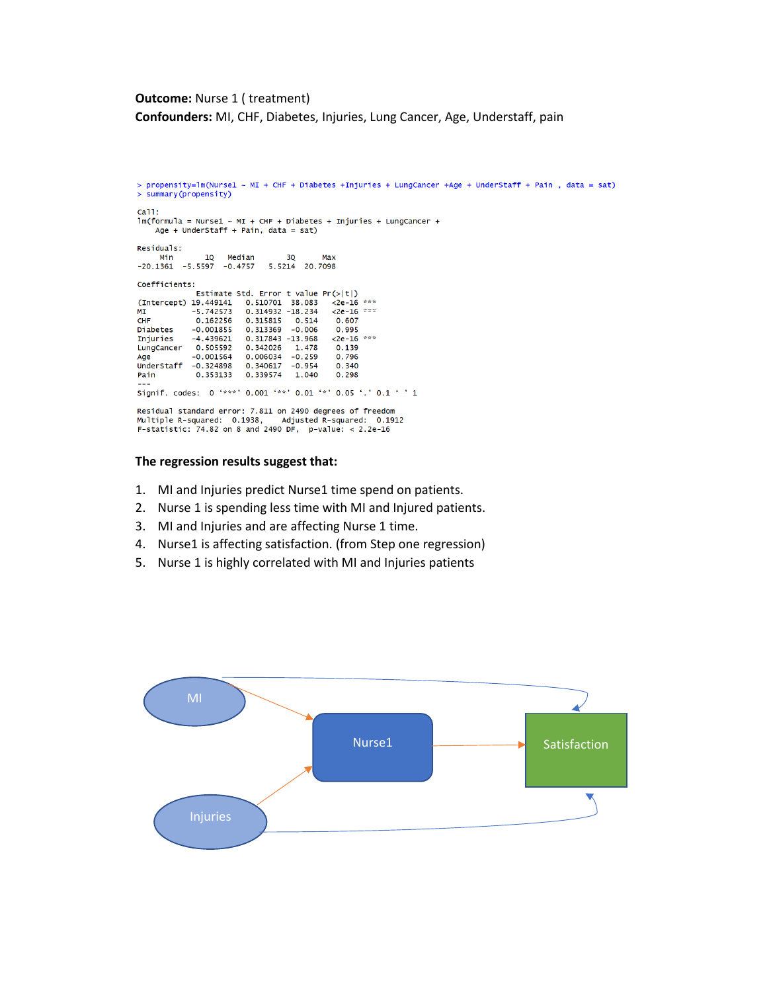**Outcome:** Nurse 1 ( treatment) **Confounders:** MI, CHF, Diabetes, Injuries, Lung Cancer, Age, Understaff, pain

```
> propensity=1m(Nurse1 ~ MI + CHF + Diabetes +Injuries + LungCancer +Age + UnderStaff + Pain, data = sat)
> summary(propensity)
cal1:
lm(formula = Nurse1 ~ MI + CHF + Diabetes + Injuries + LungCancer +Age + Understaff + Pain, data = sat)
Residuals:
Coefficients:
Estimate Std. Error t value Pr(>|t|)<br>(Intercept) 19.449141 0.510701 38.083 <2e-16
                                              2e-16 ***
             -5.7425730.314932 -18.234
                                               <2e-16 ***
\overline{M}CHF0.162256
                          0.315815 0.5140.607
Diabetes
             -0.0018550.313369 - 0.0060.995
             -4.4396210.317843 -13.968
                                                       ***
                                               2e-16Injuries
LungCancer 0.505592
                          0.342026
                                    1.478
                                                0.139
             -0.0015640.006034 -0.2590.796
Age
Understaff -0.324898
                         \begin{array}{cccc} 0.340617 & -0.954 \\ 0.339574 & 1.040 \end{array}0.340
Pain
              0.353133
                                               0.298
Signif. codes: 0 '***' 0.001 '**' 0.01 '*' 0.05 '.' 0.1 ' ' 1
Residual standard error: 7.811 on 2490 degrees of freedom
Nultiple R-squared: 0.1938, Adjusted R-squared: 0.19<br>F-statistic: 74.82 on 8 and 2490 DF, p-value: <2.2e-16
                                  Adjusted R-squared: 0.1912
```
### **The regression results suggest that:**

- 1. MI and Injuries predict Nurse1 time spend on patients.
- 2. Nurse 1 is spending less time with MI and Injured patients.
- 3. MI and Injuries and are affecting Nurse 1 time.
- 4. Nurse1 is affecting satisfaction. (from Step one regression)
- 5. Nurse 1 is highly correlated with MI and Injuries patients

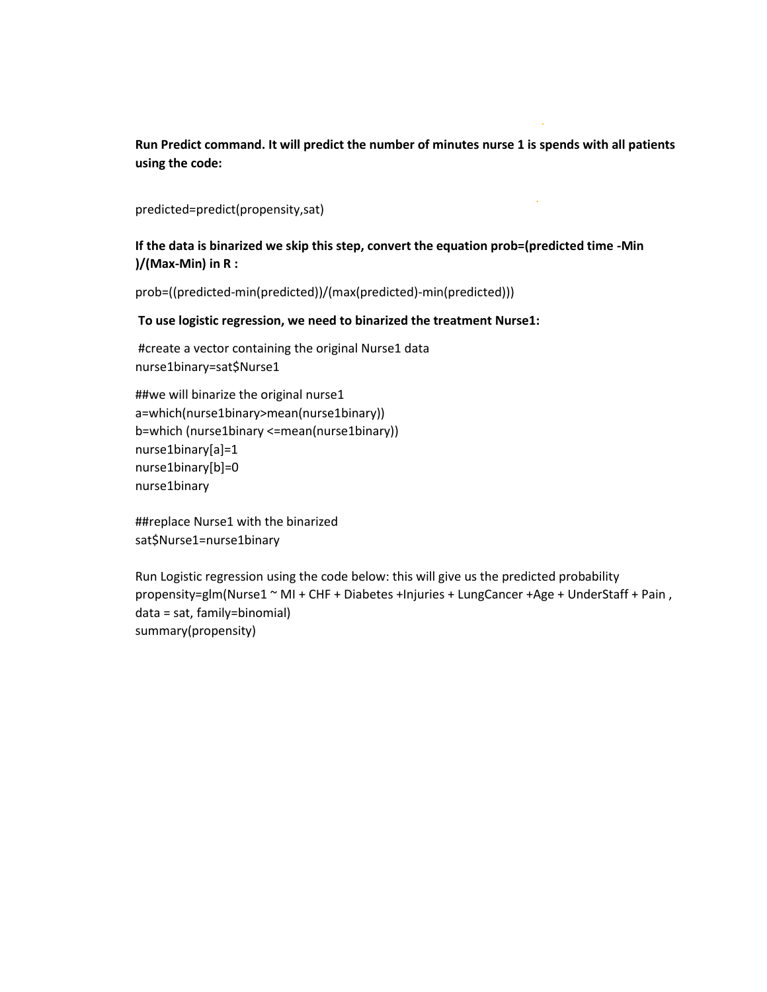**Run Predict command. It will predict the number of minutes nurse 1 is spends with all patients using the code:**

```
predicted=predict(propensity,sat)
```
# **If the data is binarized we skip this step, convert the equation prob=(predicted time -Min )/(Max-Min) in R :**

prob=((predicted-min(predicted))/(max(predicted)-min(predicted)))

# **To use logistic regression, we need to binarized the treatment Nurse1:**

```
#create a vector containing the original Nurse1 data 
nurse1binary=sat$Nurse1
```

```
##we will binarize the original nurse1
a=which(nurse1binary>mean(nurse1binary))
b=which (nurse1binary <=mean(nurse1binary))
nurse1binary[a]=1
nurse1binary[b]=0
nurse1binary
```

```
##replace Nurse1 with the binarized
sat$Nurse1=nurse1binary
```

```
Run Logistic regression using the code below: this will give us the predicted probability 
propensity=glm(Nurse1 ~ MI + CHF + Diabetes +Injuries + LungCancer +Age + UnderStaff + Pain,
data = sat, family=binomial)
summary(propensity)
```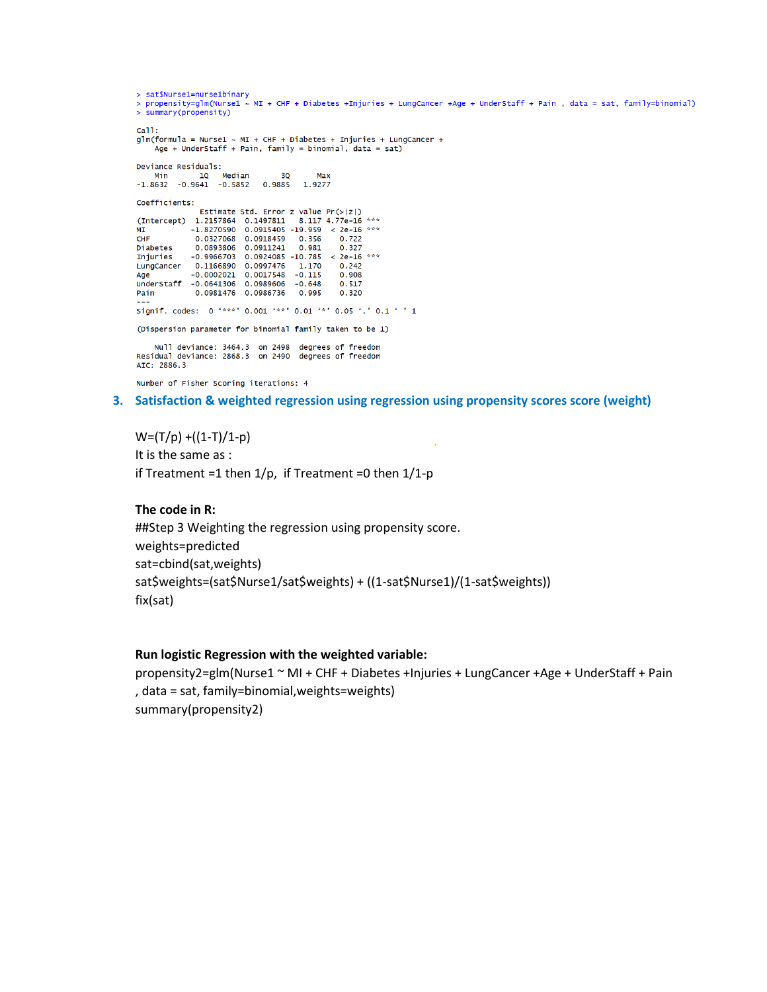```
> sat$Nurse1=nurse1binary<br>> propensity=g1m(Nurse1 ~ MI + CHF + Diabetes +Injuries + LungCancer +Age + UnderStaff + Pain , data = sat, family=binomial)
> summary(propensity)
ca11:g1m(formula = Nurse1 ~ M1 + CHF + Diabetes + Injuries + Lung Cancer +Age + UnderStaff + Pain, family = binomial, data = sat)
Deviance Residuals:
Min 10 Median 30 Max<br>-1.8632 -0.9641 -0.5852 0.9885 1.9277
Coefficients:
                  Estimate Std. Error z value Pr(>|z|)
SILMATE SUBSET 1.2157864 0.1497811 8.117 4.77e-16 ***<br>MI -1.8270590 0.0915405 -19.959 < 2e-16 ***
                 0.0327068 0.0918459 0.356<br>0.0893806 0.0911241 0.981
CHF0.722Diabetes
                                                             0.327Dianetes 0.0893806 0.0911241 0.981 0.32/<br>
Injuries -0.9966703 0.0924085 -10.785 < 2e-16 ***<br>
LungCancer 0.1166890 0.0997476 1.170 0.242<br>
Age -0.0002021 0.0017548 -0.115 0.908<br>
UnderStaff -0.0641306 0.0989606 -0.648 0.517<br>

Signif. codes: 0 '***' 0.001 '**' 0.01 '*' 0.05 '.' 0.1 ' ' 1
(Dispersion parameter for binomial family taken to be 1)
     Null deviance: 3464.3 on 2498 degrees of freedom
Residual deviance: 2868.3 on 2490 degrees of freedom
AIC: 2886.3
Number of Fisher Scoring iterations: 4
```
# **3. Satisfaction & weighted regression using regression using propensity scores score (weight)**

 $W=(T/p)+( (1-T)/1-p)$ It is the same as : if Treatment =1 then  $1/p$ , if Treatment =0 then  $1/1-p$ 

### **The code in R:**

##Step 3 Weighting the regression using propensity score. weights=predicted sat=cbind(sat,weights) sat\$weights=(sat\$Nurse1/sat\$weights) + ((1-sat\$Nurse1)/(1-sat\$weights)) fix(sat)

# **Run logistic Regression with the weighted variable:**

propensity2=glm(Nurse1 ~ MI + CHF + Diabetes +Injuries + LungCancer +Age + UnderStaff + Pain , data = sat, family=binomial,weights=weights) summary(propensity2)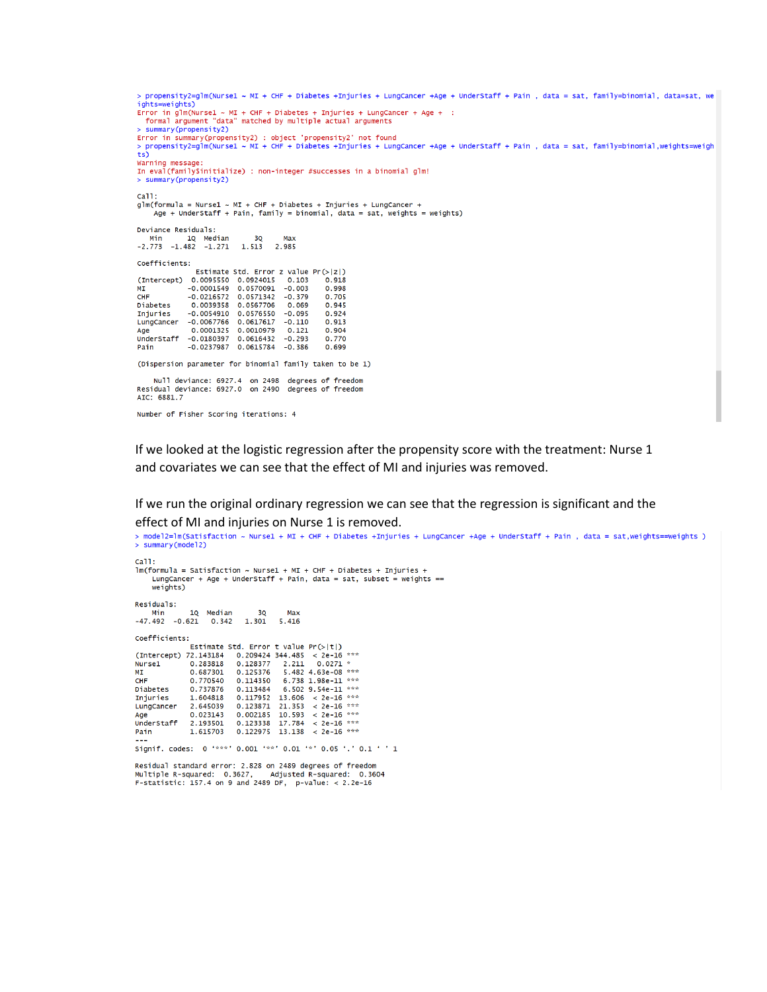```
> propensity2=glm(Nurse1 ~ MI + CHF + Diabetes +Injuries + LungCancer +Age + UnderStaff + Pain , data = sat, family=binomial, data=sat, we
ights=weights)
nghts=weights)<br>Error in glm(Nurse1 ~ MI + CHF + Diabetes + Injuries + LungCancer + Age + :<br>formal argument "data" matched by multiple actual arguments
  summary (propensity2)
ts<sub>2</sub>Warning message:
In eval(family$initialize) : non-integer #successes in a binomial glm!
> summary(propensity2)
ca11:glm(formula = Nurse1 ~ MI + CHF + Diabetes + Injuries + LungCancer +<br>Age + UnderStaff + Pain, family = binomial, data = sat, weights = weights)
Deviance Residuals:
Min 10 Median 30 Max<br>-2.773 -1.482 -1.271 1.513 2.985
Coefficients:
                Estimate Std. Error z value Pr(>|z|)(Intercept) 0.0095550 0.0924015 0.103<br>MI -0.0001549 0.0570091 -0.003
                                                   0.9180.998
MI<br>CHF
             -0.0216572 0.0571342<br>0.0039358 0.0567706
                                       -0.3790.705
Diabetes
                                                   0.9450.069
            0.0053536 0.0307700
Injuries
                                       -0.0950.924LungCancer -0.0067766 0.0617617
                                       -0.1100.913Age 0.0001325 0.0010979 0.121<br>
Understaff -0.0180397 0.0616432 -0.293<br>
Pain -0.0237987 0.0615784 -0.386
                                                   0.9040.770
                                                   0.699
(Dispersion parameter for binomial family taken to be 1)
    Null deviance: 6927.4 on 2498 degrees of freedom
Residual deviance: 6927.0 on 2490 degrees of freedom
AIC: 6881.7
Number of Fisher Scoring iterations: 4
```
If we looked at the logistic regression after the propensity score with the treatment: Nurse 1 and covariates we can see that the effect of MI and injuries was removed.

If we run the original ordinary regression we can see that the regression is significant and the effect of MI and injuries on Nurse 1 is removed.<br>> model2=1m(satisfaction ~ Nurse1 + MI + CHF + Diabetes +Injuries + Lungcancer +Age + Understaff + Pain , data = sat,weights==weights )

```
> summary(model12)Ca11<sup>+</sup>------<br>lm(formula = Satisfaction ~ Nurse1 + MI + CHF + Diabetes + Injuries +
     LungCancer + Age + UnderStaff + Pain, data = sat, subset = weights ==
    weights)
Residuals:
Min 10 Median 30<br>-47.492 -0.621 0.342 1.301
                                              Max
                                            5.416Coefficients:
                .<br>Estimate Std. Error t value Pr(>|t|)
ESTIMATE SURFACE SURFACE SURFACE SURFACE (Intercept) 72.143184 0.209424 344.485 < 2e-16 ***<br>Nurse1 0.283818 0.128377 2.211 0.0271 *
                               0.125376
                                             5.482 4.63e-08 ***
MT0.687301
CHE
                0.770540
                              0.114350
                                             6.738 1.98e-11 ***
                0.737876Diabetes
                              0.1134846.502 9.54e-11
                1.604818<br>2.645039
Injuries
                               0.117952 13.606 < 2e-16 ***
                              0.123871 21.353 < 2e-16 ***
LungCancer
Age<sup>'</sup>
                0.023143
                              0.002185 \quad 10.593 \quad < 2e-16 \quad***
we<br>UnderStaff
                2 193501
                              0.123338 17 784 < 2e-16 ***
                             0.122975 13.138 < 2e-16 ***
Pain
                1.615703
Signif. codes: 0 '***' 0.001 '**' 0.01 '*' 0.05 '.' 0.1 ' ' 1
Residual standard error: 2.828 on 2489 degrees of freedom
Nesidual Standard error: 2.626 on 2469 degrees of freedom<br>Multiple R-squared: 0.3627, Adjusted R-squared: 0.3<br>F-statistic: 157.4 on 9 and 2489 DF, p-value: < 2.2e-16
                                                                    0.3604
```